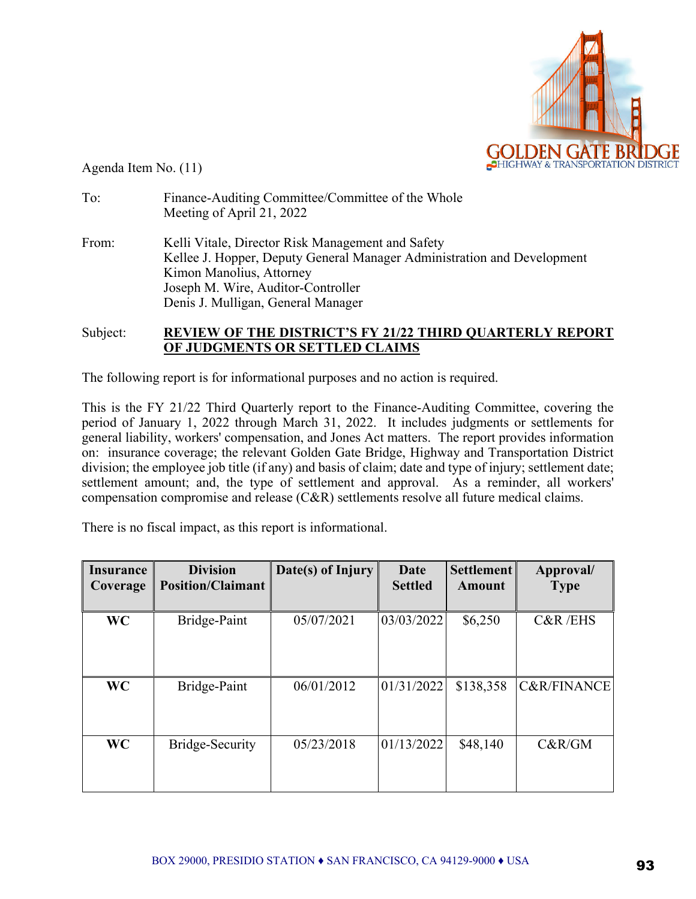

Agenda Item No. (11)

| To:   | Finance-Auditing Committee/Committee of the Whole<br>Meeting of April 21, 2022                                                                                                                                                       |
|-------|--------------------------------------------------------------------------------------------------------------------------------------------------------------------------------------------------------------------------------------|
| From: | Kelli Vitale, Director Risk Management and Safety<br>Kellee J. Hopper, Deputy General Manager Administration and Development<br>Kimon Manolius, Attorney<br>Joseph M. Wire, Auditor-Controller<br>Denis J. Mulligan, General Manager |

## Subject: **REVIEW OF THE DISTRICT'S FY 21/22 THIRD QUARTERLY REPORT OF JUDGMENTS OR SETTLED CLAIMS**

The following report is for informational purposes and no action is required.

This is the FY 21/22 Third Quarterly report to the Finance-Auditing Committee, covering the period of January 1, 2022 through March 31, 2022. It includes judgments or settlements for general liability, workers' compensation, and Jones Act matters. The report provides information on: insurance coverage; the relevant Golden Gate Bridge, Highway and Transportation District division; the employee job title (if any) and basis of claim; date and type of injury; settlement date; settlement amount; and, the type of settlement and approval. As a reminder, all workers' compensation compromise and release (C&R) settlements resolve all future medical claims.

There is no fiscal impact, as this report is informational.

| <b>Insurance</b><br>Coverage | <b>Division</b><br><b>Position/Claimant</b> | Date(s) of Injury | Date<br><b>Settled</b> | <b>Settlement</b><br><b>Amount</b> | Approval/<br><b>Type</b> |
|------------------------------|---------------------------------------------|-------------------|------------------------|------------------------------------|--------------------------|
| <b>WC</b>                    | Bridge-Paint                                | 05/07/2021        | 03/03/2022             | \$6,250                            | C&R/EHS                  |
| <b>WC</b>                    | Bridge-Paint                                | 06/01/2012        | 01/31/2022             | \$138,358                          | <b>C&amp;R/FINANCE</b>   |
| <b>WC</b>                    | Bridge-Security                             | 05/23/2018        | 01/13/2022             | \$48,140                           | C&R/GM                   |